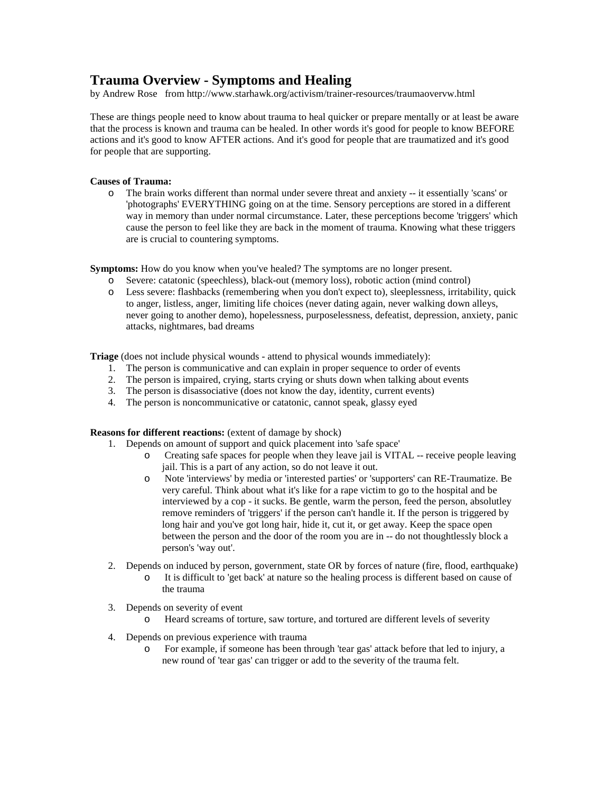# **Trauma Overview - Symptoms and Healing**

by Andrew Rose from http://www.starhawk.org/activism/trainer-resources/traumaovervw.html

These are things people need to know about trauma to heal quicker or prepare mentally or at least be aware that the process is known and trauma can be healed. In other words it's good for people to know BEFORE actions and it's good to know AFTER actions. And it's good for people that are traumatized and it's good for people that are supporting.

## **Causes of Trauma:**

o The brain works different than normal under severe threat and anxiety -- it essentially 'scans' or 'photographs' EVERYTHING going on at the time. Sensory perceptions are stored in a different way in memory than under normal circumstance. Later, these perceptions become 'triggers' which cause the person to feel like they are back in the moment of trauma. Knowing what these triggers are is crucial to countering symptoms.

**Symptoms:** How do you know when you've healed? The symptoms are no longer present.

- o Severe: catatonic (speechless), black-out (memory loss), robotic action (mind control)
- o Less severe: flashbacks (remembering when you don't expect to), sleeplessness, irritability, quick to anger, listless, anger, limiting life choices (never dating again, never walking down alleys, never going to another demo), hopelessness, purposelessness, defeatist, depression, anxiety, panic attacks, nightmares, bad dreams

**Triage** (does not include physical wounds - attend to physical wounds immediately):

- 1. The person is communicative and can explain in proper sequence to order of events
- 2. The person is impaired, crying, starts crying or shuts down when talking about events
- 3. The person is disassociative (does not know the day, identity, current events)
- 4. The person is noncommunicative or catatonic, cannot speak, glassy eyed

**Reasons for different reactions:** (extent of damage by shock)

- 1. Depends on amount of support and quick placement into 'safe space'
	- o Creating safe spaces for people when they leave jail is VITAL -- receive people leaving jail. This is a part of any action, so do not leave it out.
	- o Note 'interviews' by media or 'interested parties' or 'supporters' can RE-Traumatize. Be very careful. Think about what it's like for a rape victim to go to the hospital and be interviewed by a cop - it sucks. Be gentle, warm the person, feed the person, absolutley remove reminders of 'triggers' if the person can't handle it. If the person is triggered by long hair and you've got long hair, hide it, cut it, or get away. Keep the space open between the person and the door of the room you are in -- do not thoughtlessly block a person's 'way out'.
- 2. Depends on induced by person, government, state OR by forces of nature (fire, flood, earthquake) o It is difficult to 'get back' at nature so the healing process is different based on cause of the trauma
- 3. Depends on severity of event
	- o Heard screams of torture, saw torture, and tortured are different levels of severity
- 4. Depends on previous experience with trauma
	- o For example, if someone has been through 'tear gas' attack before that led to injury, a new round of 'tear gas' can trigger or add to the severity of the trauma felt.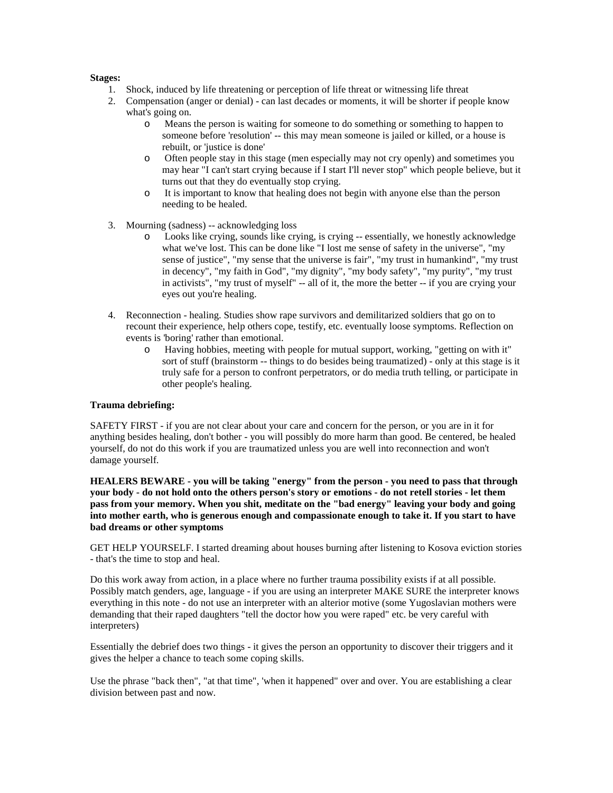### **Stages:**

- 1. Shock, induced by life threatening or perception of life threat or witnessing life threat
- 2. Compensation (anger or denial) can last decades or moments, it will be shorter if people know what's going on.
	- o Means the person is waiting for someone to do something or something to happen to someone before 'resolution' -- this may mean someone is jailed or killed, or a house is rebuilt, or 'justice is done'
	- o Often people stay in this stage (men especially may not cry openly) and sometimes you may hear "I can't start crying because if I start I'll never stop" which people believe, but it turns out that they do eventually stop crying.
	- o It is important to know that healing does not begin with anyone else than the person needing to be healed.
- 3. Mourning (sadness) -- acknowledging loss
	- o Looks like crying, sounds like crying, is crying -- essentially, we honestly acknowledge what we've lost. This can be done like "I lost me sense of safety in the universe", "my sense of justice", "my sense that the universe is fair", "my trust in humankind", "my trust in decency", "my faith in God", "my dignity", "my body safety", "my purity", "my trust in activists", "my trust of myself" -- all of it, the more the better -- if you are crying your eyes out you're healing.
- 4. Reconnection healing. Studies show rape survivors and demilitarized soldiers that go on to recount their experience, help others cope, testify, etc. eventually loose symptoms. Reflection on events is 'boring' rather than emotional.
	- o Having hobbies, meeting with people for mutual support, working, "getting on with it" sort of stuff (brainstorm -- things to do besides being traumatized) - only at this stage is it truly safe for a person to confront perpetrators, or do media truth telling, or participate in other people's healing.

## **Trauma debriefing:**

SAFETY FIRST - if you are not clear about your care and concern for the person, or you are in it for anything besides healing, don't bother - you will possibly do more harm than good. Be centered, be healed yourself, do not do this work if you are traumatized unless you are well into reconnection and won't damage yourself.

**HEALERS BEWARE - you will be taking "energy" from the person - you need to pass that through your body - do not hold onto the others person's story or emotions - do not retell stories - let them pass from your memory. When you shit, meditate on the "bad energy" leaving your body and going into mother earth, who is generous enough and compassionate enough to take it. If you start to have bad dreams or other symptoms**

GET HELP YOURSELF. I started dreaming about houses burning after listening to Kosova eviction stories - that's the time to stop and heal.

Do this work away from action, in a place where no further trauma possibility exists if at all possible. Possibly match genders, age, language - if you are using an interpreter MAKE SURE the interpreter knows everything in this note - do not use an interpreter with an alterior motive (some Yugoslavian mothers were demanding that their raped daughters "tell the doctor how you were raped" etc. be very careful with interpreters)

Essentially the debrief does two things - it gives the person an opportunity to discover their triggers and it gives the helper a chance to teach some coping skills.

Use the phrase "back then", "at that time", 'when it happened" over and over. You are establishing a clear division between past and now.